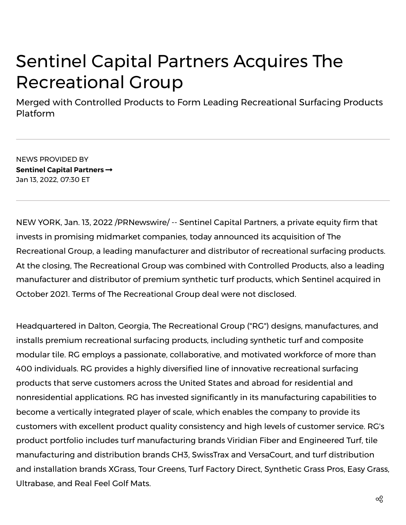## Sentinel Capital Partners Acquires The Recreational Group

Merged with Controlled Products to Form Leading Recreational Surfacing Products Platform

NEWS PROVIDED BY **Sentinel Capital [Partners](https://www.prnewswire.com/news/sentinel-capital-partners/)** Jan 13, 2022, 07:30 ET

NEW YORK, Jan. 13, 2022 /PRNewswire/ -- Sentinel Capital Partners, a private equity firm that invests in promising midmarket companies, today announced its acquisition of The Recreational Group, a leading manufacturer and distributor of recreational surfacing products. At the closing, The Recreational Group was combined with Controlled Products, also a leading manufacturer and distributor of premium synthetic turf products, which Sentinel acquired in October 2021. Terms of The Recreational Group deal were not disclosed.

Headquartered in Dalton, Georgia, The Recreational Group ("RG") designs, manufactures, and installs premium recreational surfacing products, including synthetic turf and composite modular tile. RG employs a passionate, collaborative, and motivated workforce of more than 400 individuals. RG provides a highly diversified line of innovative recreational surfacing products that serve customers across the United States and abroad for residential and nonresidential applications. RG has invested significantly in its manufacturing capabilities to become a vertically integrated player of scale, which enables the company to provide its customers with excellent product quality consistency and high levels of customer service. RG's product portfolio includes turf manufacturing brands Viridian Fiber and Engineered Turf, tile manufacturing and distribution brands CH3, SwissTrax and VersaCourt, and turf distribution and installation brands XGrass, Tour Greens, Turf Factory Direct, Synthetic Grass Pros, Easy Grass, Ultrabase, and Real Feel Golf Mats.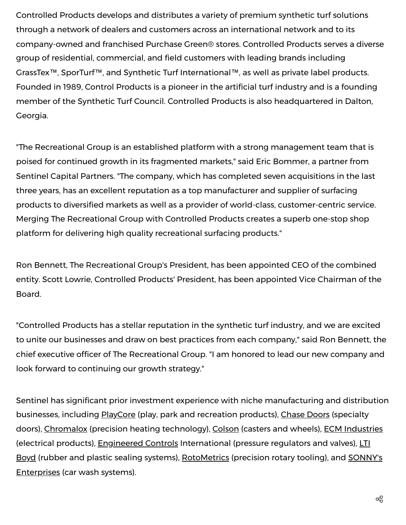Controlled Products develops and distributes a variety of premium synthetic turf solutions through a network of dealers and customers across an international network and to its company-owned and franchised Purchase Green® stores. Controlled Products serves a diverse group of residential, commercial, and field customers with leading brands including GrassTex™, SporTurf™, and Synthetic Turf International™, as well as private label products. Founded in 1989, Control Products is a pioneer in the artificial turf industry and is a founding member of the Synthetic Turf Council. Controlled Products is also headquartered in Dalton, Georgia.

"The Recreational Group is an established platform with a strong management team that is poised for continued growth in its fragmented markets," said Eric Bommer, a partner from Sentinel Capital Partners. "The company, which has completed seven acquisitions in the last three years, has an excellent reputation as a top manufacturer and supplier of surfacing products to diversified markets as well as a provider of world-class, customer-centric service. Merging The Recreational Group with Controlled Products creates a superb one-stop shop platform for delivering high quality recreational surfacing products."

Ron Bennett, The Recreational Group's President, has been appointed CEO of the combined entity. Scott Lowrie, Controlled Products' President, has been appointed Vice Chairman of the Board.

"Controlled Products has a stellar reputation in the synthetic turf industry, and we are excited to unite our businesses and draw on best practices from each company," said Ron Bennett, the chief executive officer of The Recreational Group. "I am honored to lead our new company and look forward to continuing our growth strategy."

Sentinel has significant prior investment experience with niche manufacturing and distribution businesses, including PlayCore (play, park and recreation products), Chase Doors (specialty doors), Chromalox (precision heating technology), Colson (casters and wheels), ECM Industries (electrical products), Engineered Controls International (pressure regulators and valves), LTI Boyd (rubber and plastic sealing systems), RotoMetrics (precision rotary tooling), and SONNY's Enterprises (car wash systems).